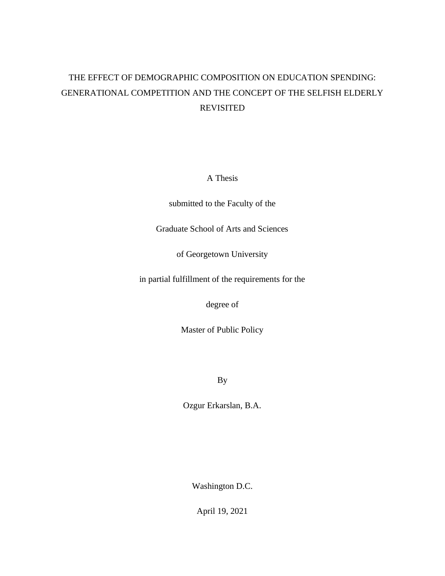# THE EFFECT OF DEMOGRAPHIC COMPOSITION ON EDUCATION SPENDING: GENERATIONAL COMPETITION AND THE CONCEPT OF THE SELFISH ELDERLY REVISITED

A Thesis

submitted to the Faculty of the

Graduate School of Arts and Sciences

of Georgetown University

in partial fulfillment of the requirements for the

degree of

Master of Public Policy

By

Ozgur Erkarslan, B.A.

Washington D.C.

April 19, 2021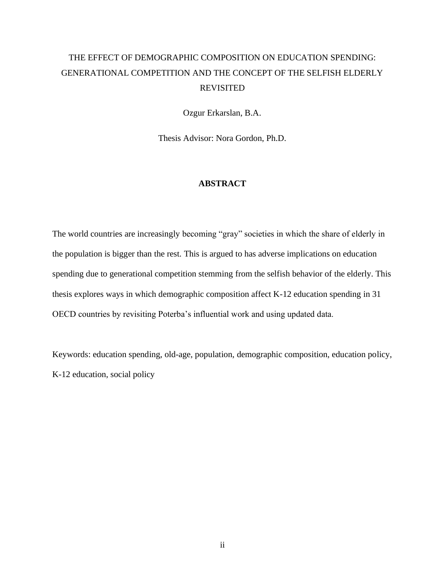# THE EFFECT OF DEMOGRAPHIC COMPOSITION ON EDUCATION SPENDING: GENERATIONAL COMPETITION AND THE CONCEPT OF THE SELFISH ELDERLY REVISITED

Ozgur Erkarslan, B.A.

Thesis Advisor: Nora Gordon, Ph.D.

### **ABSTRACT**

The world countries are increasingly becoming "gray" societies in which the share of elderly in the population is bigger than the rest. This is argued to has adverse implications on education spending due to generational competition stemming from the selfish behavior of the elderly. This thesis explores ways in which demographic composition affect K-12 education spending in 31 OECD countries by revisiting Poterba's influential work and using updated data.

Keywords: education spending, old-age, population, demographic composition, education policy, K-12 education, social policy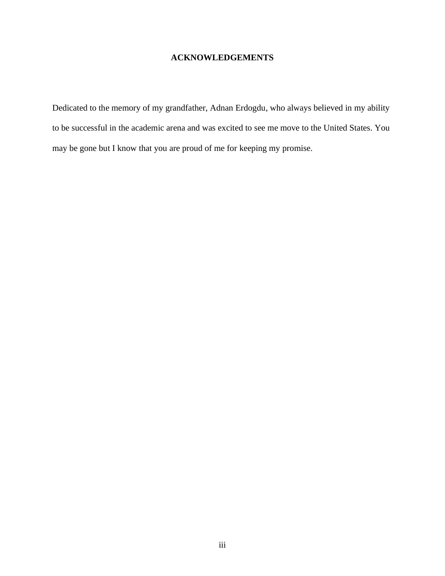## **ACKNOWLEDGEMENTS**

Dedicated to the memory of my grandfather, Adnan Erdogdu, who always believed in my ability to be successful in the academic arena and was excited to see me move to the United States. You may be gone but I know that you are proud of me for keeping my promise.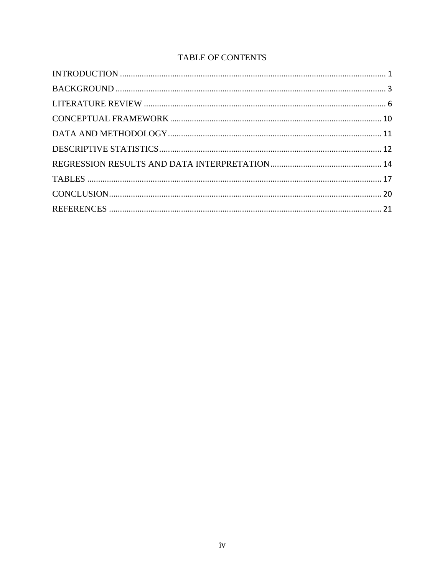# TABLE OF CONTENTS

<span id="page-3-0"></span>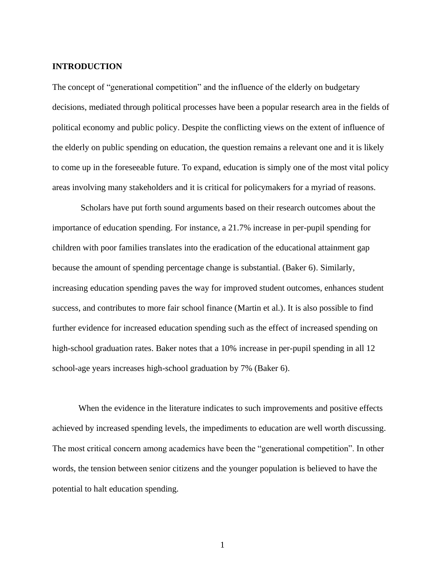#### **INTRODUCTION**

The concept of "generational competition" and the influence of the elderly on budgetary decisions, mediated through political processes have been a popular research area in the fields of political economy and public policy. Despite the conflicting views on the extent of influence of the elderly on public spending on education, the question remains a relevant one and it is likely to come up in the foreseeable future. To expand, education is simply one of the most vital policy areas involving many stakeholders and it is critical for policymakers for a myriad of reasons.

Scholars have put forth sound arguments based on their research outcomes about the importance of education spending. For instance, a 21.7% increase in per-pupil spending for children with poor families translates into the eradication of the educational attainment gap because the amount of spending percentage change is substantial. (Baker 6). Similarly, increasing education spending paves the way for improved student outcomes, enhances student success, and contributes to more fair school finance (Martin et al.). It is also possible to find further evidence for increased education spending such as the effect of increased spending on high-school graduation rates. Baker notes that a 10% increase in per-pupil spending in all 12 school-age years increases high-school graduation by 7% (Baker 6).

When the evidence in the literature indicates to such improvements and positive effects achieved by increased spending levels, the impediments to education are well worth discussing. The most critical concern among academics have been the "generational competition". In other words, the tension between senior citizens and the younger population is believed to have the potential to halt education spending.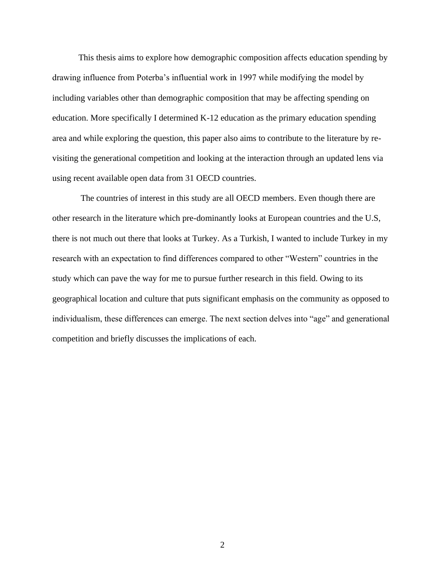This thesis aims to explore how demographic composition affects education spending by drawing influence from Poterba's influential work in 1997 while modifying the model by including variables other than demographic composition that may be affecting spending on education. More specifically I determined K-12 education as the primary education spending area and while exploring the question, this paper also aims to contribute to the literature by revisiting the generational competition and looking at the interaction through an updated lens via using recent available open data from 31 OECD countries.

The countries of interest in this study are all OECD members. Even though there are other research in the literature which pre-dominantly looks at European countries and the U.S, there is not much out there that looks at Turkey. As a Turkish, I wanted to include Turkey in my research with an expectation to find differences compared to other "Western" countries in the study which can pave the way for me to pursue further research in this field. Owing to its geographical location and culture that puts significant emphasis on the community as opposed to individualism, these differences can emerge. The next section delves into "age" and generational competition and briefly discusses the implications of each.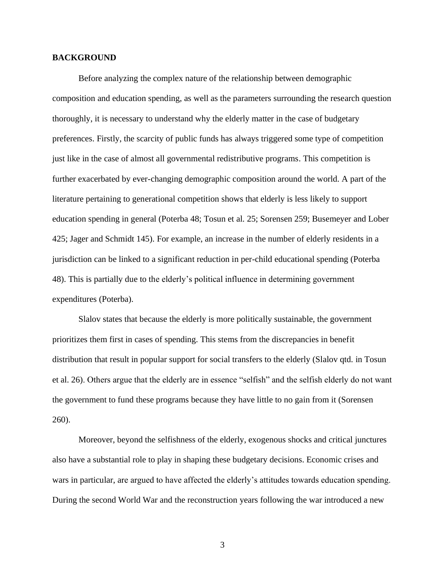#### <span id="page-6-0"></span>**BACKGROUND**

Before analyzing the complex nature of the relationship between demographic composition and education spending, as well as the parameters surrounding the research question thoroughly, it is necessary to understand why the elderly matter in the case of budgetary preferences. Firstly, the scarcity of public funds has always triggered some type of competition just like in the case of almost all governmental redistributive programs. This competition is further exacerbated by ever-changing demographic composition around the world. A part of the literature pertaining to generational competition shows that elderly is less likely to support education spending in general (Poterba 48; Tosun et al. 25; Sorensen 259; Busemeyer and Lober 425; Jager and Schmidt 145). For example, an increase in the number of elderly residents in a jurisdiction can be linked to a significant reduction in per-child educational spending (Poterba 48). This is partially due to the elderly's political influence in determining government expenditures (Poterba).

Slalov states that because the elderly is more politically sustainable, the government prioritizes them first in cases of spending. This stems from the discrepancies in benefit distribution that result in popular support for social transfers to the elderly (Slalov qtd. in Tosun et al. 26). Others argue that the elderly are in essence "selfish" and the selfish elderly do not want the government to fund these programs because they have little to no gain from it (Sorensen 260).

Moreover, beyond the selfishness of the elderly, exogenous shocks and critical junctures also have a substantial role to play in shaping these budgetary decisions. Economic crises and wars in particular, are argued to have affected the elderly's attitudes towards education spending. During the second World War and the reconstruction years following the war introduced a new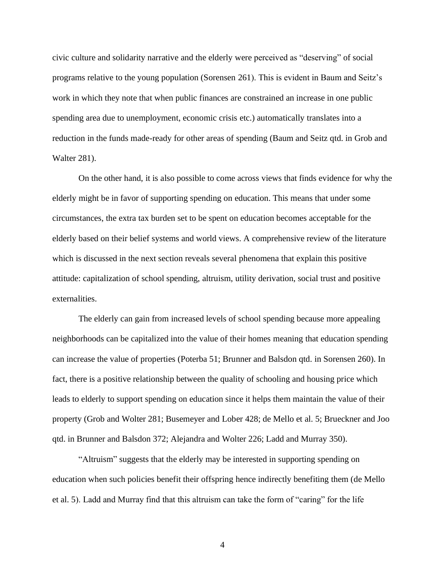civic culture and solidarity narrative and the elderly were perceived as "deserving" of social programs relative to the young population (Sorensen 261). This is evident in Baum and Seitz's work in which they note that when public finances are constrained an increase in one public spending area due to unemployment, economic crisis etc.) automatically translates into a reduction in the funds made-ready for other areas of spending (Baum and Seitz qtd. in Grob and Walter 281).

On the other hand, it is also possible to come across views that finds evidence for why the elderly might be in favor of supporting spending on education. This means that under some circumstances, the extra tax burden set to be spent on education becomes acceptable for the elderly based on their belief systems and world views. A comprehensive review of the literature which is discussed in the next section reveals several phenomena that explain this positive attitude: capitalization of school spending, altruism, utility derivation, social trust and positive externalities.

The elderly can gain from increased levels of school spending because more appealing neighborhoods can be capitalized into the value of their homes meaning that education spending can increase the value of properties (Poterba 51; Brunner and Balsdon qtd. in Sorensen 260). In fact, there is a positive relationship between the quality of schooling and housing price which leads to elderly to support spending on education since it helps them maintain the value of their property (Grob and Wolter 281; Busemeyer and Lober 428; de Mello et al. 5; Brueckner and Joo qtd. in Brunner and Balsdon 372; Alejandra and Wolter 226; Ladd and Murray 350).

"Altruism" suggests that the elderly may be interested in supporting spending on education when such policies benefit their offspring hence indirectly benefiting them (de Mello et al. 5). Ladd and Murray find that this altruism can take the form of "caring" for the life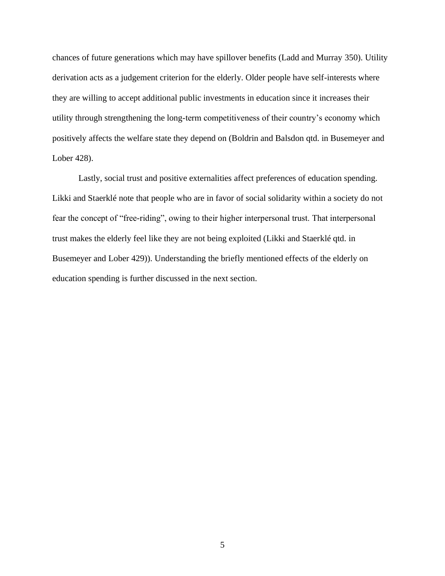chances of future generations which may have spillover benefits (Ladd and Murray 350). Utility derivation acts as a judgement criterion for the elderly. Older people have self-interests where they are willing to accept additional public investments in education since it increases their utility through strengthening the long-term competitiveness of their country's economy which positively affects the welfare state they depend on (Boldrin and Balsdon qtd. in Busemeyer and Lober 428).

Lastly, social trust and positive externalities affect preferences of education spending. Likki and Staerklé note that people who are in favor of social solidarity within a society do not fear the concept of "free-riding", owing to their higher interpersonal trust. That interpersonal trust makes the elderly feel like they are not being exploited (Likki and Staerklé qtd. in Busemeyer and Lober 429)). Understanding the briefly mentioned effects of the elderly on education spending is further discussed in the next section.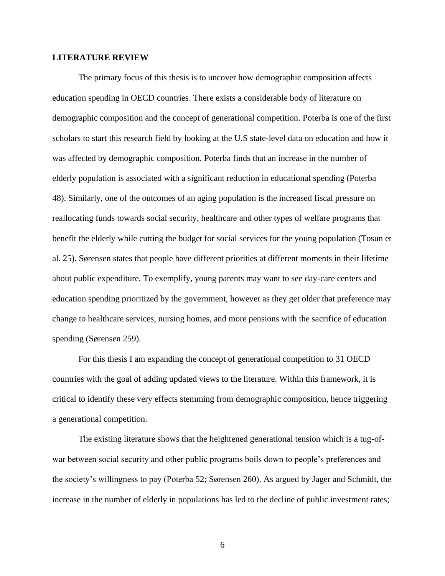#### <span id="page-9-0"></span>**LITERATURE REVIEW**

The primary focus of this thesis is to uncover how demographic composition affects education spending in OECD countries. There exists a considerable body of literature on demographic composition and the concept of generational competition. Poterba is one of the first scholars to start this research field by looking at the U.S state-level data on education and how it was affected by demographic composition. Poterba finds that an increase in the number of elderly population is associated with a significant reduction in educational spending (Poterba 48). Similarly, one of the outcomes of an aging population is the increased fiscal pressure on reallocating funds towards social security, healthcare and other types of welfare programs that benefit the elderly while cutting the budget for social services for the young population (Tosun et al. 25). Sørensen states that people have different priorities at different moments in their lifetime about public expenditure. To exemplify, young parents may want to see day-care centers and education spending prioritized by the government, however as they get older that preference may change to healthcare services, nursing homes, and more pensions with the sacrifice of education spending (Sørensen 259).

For this thesis I am expanding the concept of generational competition to 31 OECD countries with the goal of adding updated views to the literature. Within this framework, it is critical to identify these very effects stemming from demographic composition, hence triggering a generational competition.

The existing literature shows that the heightened generational tension which is a tug-ofwar between social security and other public programs boils down to people's preferences and the society's willingness to pay (Poterba 52; Sørensen 260). As argued by Jager and Schmidt, the increase in the number of elderly in populations has led to the decline of public investment rates;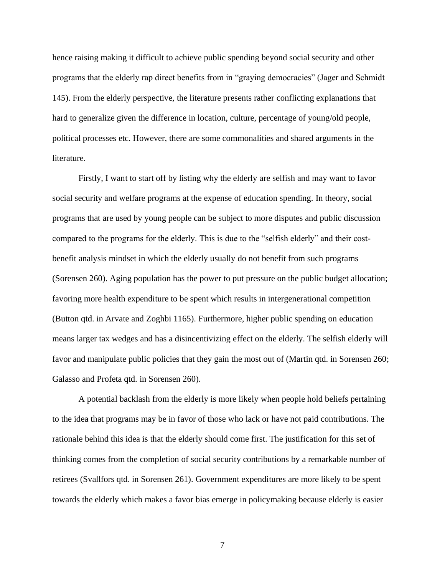hence raising making it difficult to achieve public spending beyond social security and other programs that the elderly rap direct benefits from in "graying democracies" (Jager and Schmidt 145). From the elderly perspective, the literature presents rather conflicting explanations that hard to generalize given the difference in location, culture, percentage of young/old people, political processes etc. However, there are some commonalities and shared arguments in the literature.

Firstly, I want to start off by listing why the elderly are selfish and may want to favor social security and welfare programs at the expense of education spending. In theory, social programs that are used by young people can be subject to more disputes and public discussion compared to the programs for the elderly. This is due to the "selfish elderly" and their costbenefit analysis mindset in which the elderly usually do not benefit from such programs (Sorensen 260). Aging population has the power to put pressure on the public budget allocation; favoring more health expenditure to be spent which results in intergenerational competition (Button qtd. in Arvate and Zoghbi 1165). Furthermore, higher public spending on education means larger tax wedges and has a disincentivizing effect on the elderly. The selfish elderly will favor and manipulate public policies that they gain the most out of (Martin qtd. in Sorensen 260; Galasso and Profeta qtd. in Sorensen 260).

A potential backlash from the elderly is more likely when people hold beliefs pertaining to the idea that programs may be in favor of those who lack or have not paid contributions. The rationale behind this idea is that the elderly should come first. The justification for this set of thinking comes from the completion of social security contributions by a remarkable number of retirees (Svallfors qtd. in Sorensen 261). Government expenditures are more likely to be spent towards the elderly which makes a favor bias emerge in policymaking because elderly is easier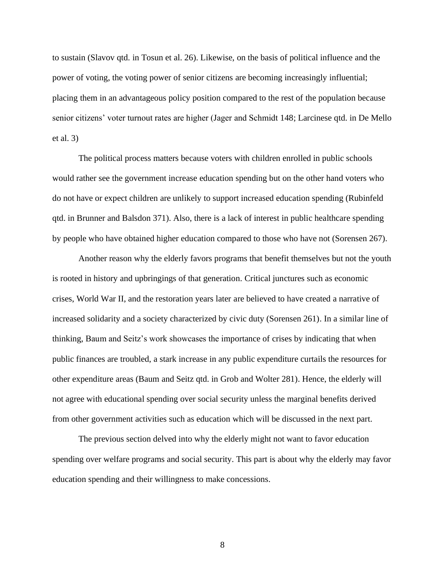to sustain (Slavov qtd. in Tosun et al. 26). Likewise, on the basis of political influence and the power of voting, the voting power of senior citizens are becoming increasingly influential; placing them in an advantageous policy position compared to the rest of the population because senior citizens' voter turnout rates are higher (Jager and Schmidt 148; Larcinese qtd. in De Mello et al. 3)

The political process matters because voters with children enrolled in public schools would rather see the government increase education spending but on the other hand voters who do not have or expect children are unlikely to support increased education spending (Rubinfeld qtd. in Brunner and Balsdon 371). Also, there is a lack of interest in public healthcare spending by people who have obtained higher education compared to those who have not (Sorensen 267).

Another reason why the elderly favors programs that benefit themselves but not the youth is rooted in history and upbringings of that generation. Critical junctures such as economic crises, World War II, and the restoration years later are believed to have created a narrative of increased solidarity and a society characterized by civic duty (Sorensen 261). In a similar line of thinking, Baum and Seitz's work showcases the importance of crises by indicating that when public finances are troubled, a stark increase in any public expenditure curtails the resources for other expenditure areas (Baum and Seitz qtd. in Grob and Wolter 281). Hence, the elderly will not agree with educational spending over social security unless the marginal benefits derived from other government activities such as education which will be discussed in the next part.

The previous section delved into why the elderly might not want to favor education spending over welfare programs and social security. This part is about why the elderly may favor education spending and their willingness to make concessions.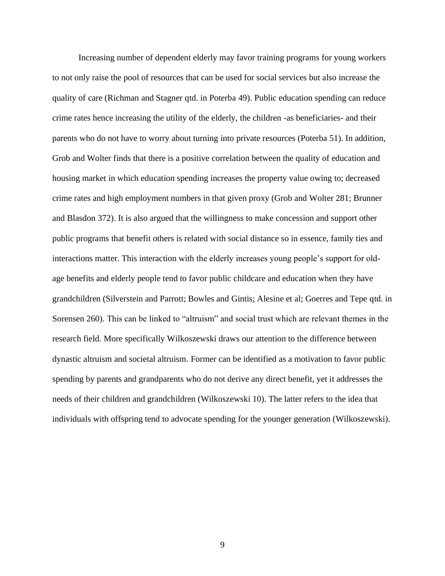Increasing number of dependent elderly may favor training programs for young workers to not only raise the pool of resources that can be used for social services but also increase the quality of care (Richman and Stagner qtd. in Poterba 49). Public education spending can reduce crime rates hence increasing the utility of the elderly, the children -as beneficiaries- and their parents who do not have to worry about turning into private resources (Poterba 51). In addition, Grob and Wolter finds that there is a positive correlation between the quality of education and housing market in which education spending increases the property value owing to; decreased crime rates and high employment numbers in that given proxy (Grob and Wolter 281; Brunner and Blasdon 372). It is also argued that the willingness to make concession and support other public programs that benefit others is related with social distance so in essence, family ties and interactions matter. This interaction with the elderly increases young people's support for oldage benefits and elderly people tend to favor public childcare and education when they have grandchildren (Silverstein and Parrott; Bowles and Gintis; Alesine et al; Goerres and Tepe qtd. in Sorensen 260). This can be linked to "altruism" and social trust which are relevant themes in the research field. More specifically Wilkoszewski draws our attention to the difference between dynastic altruism and societal altruism. Former can be identified as a motivation to favor public spending by parents and grandparents who do not derive any direct benefit, yet it addresses the needs of their children and grandchildren (Wilkoszewski 10). The latter refers to the idea that individuals with offspring tend to advocate spending for the younger generation (Wilkoszewski).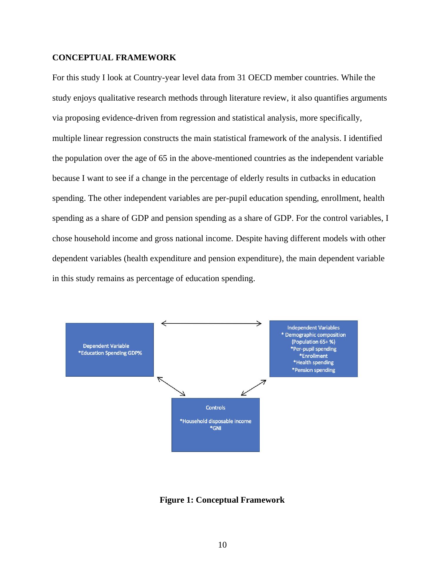#### <span id="page-13-0"></span>**CONCEPTUAL FRAMEWORK**

For this study I look at Country-year level data from 31 OECD member countries. While the study enjoys qualitative research methods through literature review, it also quantifies arguments via proposing evidence-driven from regression and statistical analysis, more specifically, multiple linear regression constructs the main statistical framework of the analysis. I identified the population over the age of 65 in the above-mentioned countries as the independent variable because I want to see if a change in the percentage of elderly results in cutbacks in education spending. The other independent variables are per-pupil education spending, enrollment, health spending as a share of GDP and pension spending as a share of GDP. For the control variables, I chose household income and gross national income. Despite having different models with other dependent variables (health expenditure and pension expenditure), the main dependent variable in this study remains as percentage of education spending.



**Figure 1: Conceptual Framework**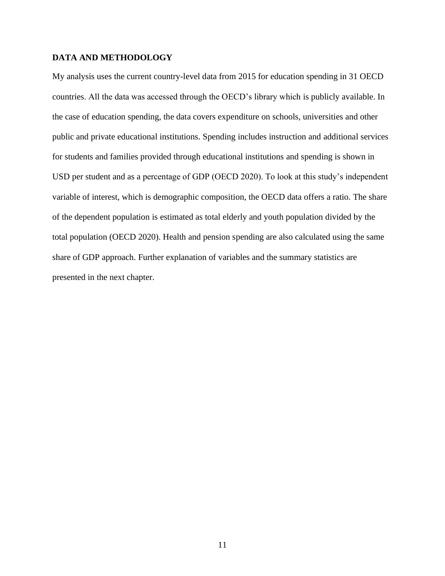### <span id="page-14-0"></span>**DATA AND METHODOLOGY**

My analysis uses the current country-level data from 2015 for education spending in 31 OECD countries. All the data was accessed through the OECD's library which is publicly available. In the case of education spending, the data covers expenditure on schools, universities and other public and private educational institutions. Spending includes instruction and additional services for students and families provided through educational institutions and spending is shown in USD per student and as a percentage of GDP (OECD 2020). To look at this study's independent variable of interest, which is demographic composition, the OECD data offers a ratio. The share of the dependent population is estimated as total elderly and youth population divided by the total population (OECD 2020). Health and pension spending are also calculated using the same share of GDP approach. Further explanation of variables and the summary statistics are presented in the next chapter.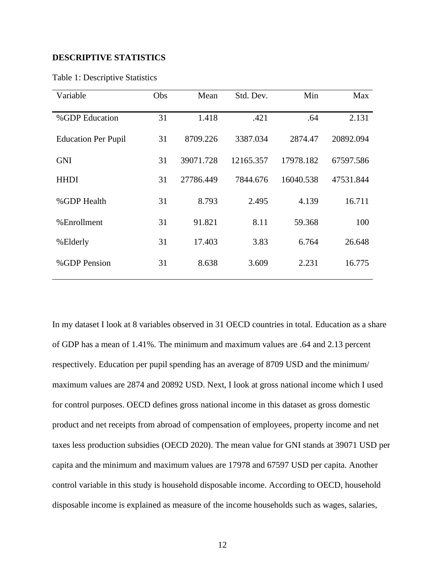#### <span id="page-15-0"></span>**DESCRIPTIVE STATISTICS**

| Variable                   | Obs | Mean      | Std. Dev. | Min       | Max       |
|----------------------------|-----|-----------|-----------|-----------|-----------|
| %GDP Education             | 31  | 1.418     | .421      | .64       | 2.131     |
| <b>Education Per Pupil</b> | 31  | 8709.226  | 3387.034  | 2874.47   | 20892.094 |
| <b>GNI</b>                 | 31  | 39071.728 | 12165.357 | 17978.182 | 67597.586 |
| <b>HHDI</b>                | 31  | 27786.449 | 7844.676  | 16040.538 | 47531.844 |
| %GDP Health                | 31  | 8.793     | 2.495     | 4.139     | 16.711    |
| %Enrollment                | 31  | 91.821    | 8.11      | 59.368    | 100       |
| %Elderly                   | 31  | 17.403    | 3.83      | 6.764     | 26.648    |
| %GDP Pension               | 31  | 8.638     | 3.609     | 2.231     | 16.775    |

Table 1: Descriptive Statistics

In my dataset I look at 8 variables observed in 31 OECD countries in total. Education as a share of GDP has a mean of 1.41%. The minimum and maximum values are .64 and 2.13 percent respectively. Education per pupil spending has an average of 8709 USD and the minimum/ maximum values are 2874 and 20892 USD. Next, I look at gross national income which I used for control purposes. OECD defines gross national income in this dataset as gross domestic product and net receipts from abroad of compensation of employees, property income and net taxes less production subsidies (OECD 2020). The mean value for GNI stands at 39071 USD per capita and the minimum and maximum values are 17978 and 67597 USD per capita. Another control variable in this study is household disposable income. According to OECD, household disposable income is explained as measure of the income households such as wages, salaries,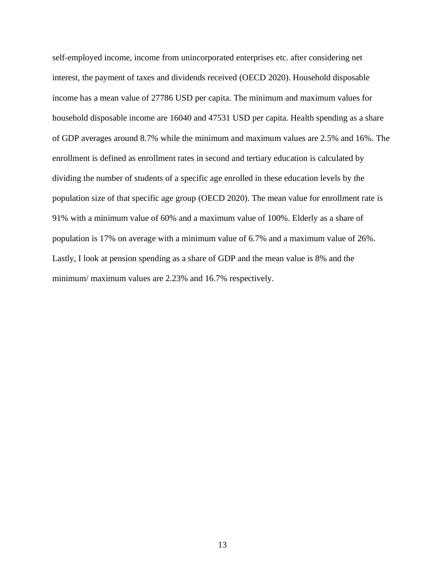self-employed income, income from unincorporated enterprises etc. after considering net interest, the payment of taxes and dividends received (OECD 2020). Household disposable income has a mean value of 27786 USD per capita. The minimum and maximum values for household disposable income are 16040 and 47531 USD per capita. Health spending as a share of GDP averages around 8.7% while the minimum and maximum values are 2.5% and 16%. The enrollment is defined as enrollment rates in second and tertiary education is calculated by dividing the number of students of a specific age enrolled in these education levels by the population size of that specific age group (OECD 2020). The mean value for enrollment rate is 91% with a minimum value of 60% and a maximum value of 100%. Elderly as a share of population is 17% on average with a minimum value of 6.7% and a maximum value of 26%. Lastly, I look at pension spending as a share of GDP and the mean value is 8% and the minimum/ maximum values are 2.23% and 16.7% respectively.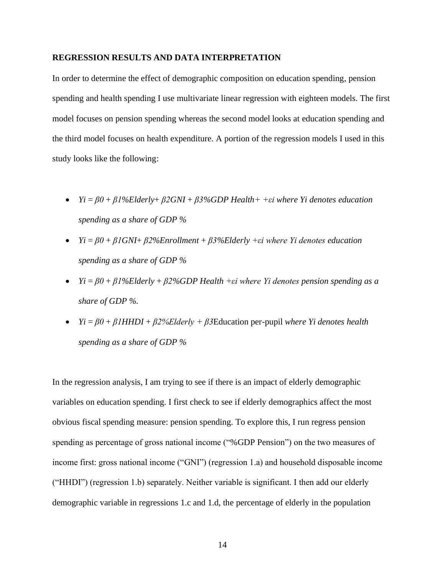#### <span id="page-17-0"></span>**REGRESSION RESULTS AND DATA INTERPRETATION**

In order to determine the effect of demographic composition on education spending, pension spending and health spending I use multivariate linear regression with eighteen models. The first model focuses on pension spending whereas the second model looks at education spending and the third model focuses on health expenditure. A portion of the regression models I used in this study looks like the following:

- *Yi* = *β0* + *β1%Elderly*+ *β2GNI* + *β3%GDP Health+ +εi where Yi denotes education spending as a share of GDP %*
- *Yi* = *β0* + *β1GNI*+ *β2%Enrollment* + *β3%Elderly +εi where Yi denotes education spending as a share of GDP %*
- *Yi* = *β0* + *β1%Elderly* + *β2%GDP Health +εi where Yi denotes pension spending as a share of GDP %.*
- *Yi* = *β0* + *β1HHDI* + *β2%Elderly + β3*Education per-pupil *where Yi denotes health spending as a share of GDP %*

In the regression analysis, I am trying to see if there is an impact of elderly demographic variables on education spending. I first check to see if elderly demographics affect the most obvious fiscal spending measure: pension spending. To explore this, I run regress pension spending as percentage of gross national income ("%GDP Pension") on the two measures of income first: gross national income ("GNI") (regression 1.a) and household disposable income ("HHDI") (regression 1.b) separately. Neither variable is significant. I then add our elderly demographic variable in regressions 1.c and 1.d, the percentage of elderly in the population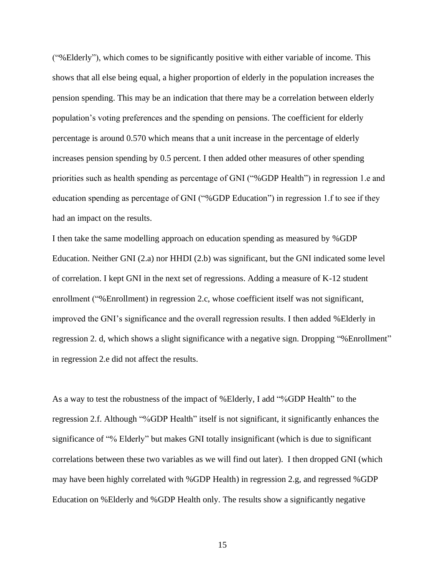("%Elderly"), which comes to be significantly positive with either variable of income. This shows that all else being equal, a higher proportion of elderly in the population increases the pension spending. This may be an indication that there may be a correlation between elderly population's voting preferences and the spending on pensions. The coefficient for elderly percentage is around 0.570 which means that a unit increase in the percentage of elderly increases pension spending by 0.5 percent. I then added other measures of other spending priorities such as health spending as percentage of GNI ("%GDP Health") in regression 1.e and education spending as percentage of GNI ("%GDP Education") in regression 1.f to see if they had an impact on the results.

I then take the same modelling approach on education spending as measured by %GDP Education. Neither GNI (2.a) nor HHDI (2.b) was significant, but the GNI indicated some level of correlation. I kept GNI in the next set of regressions. Adding a measure of K-12 student enrollment ("%Enrollment) in regression 2.c, whose coefficient itself was not significant, improved the GNI's significance and the overall regression results. I then added %Elderly in regression 2. d, which shows a slight significance with a negative sign. Dropping "%Enrollment" in regression 2.e did not affect the results.

As a way to test the robustness of the impact of %Elderly, I add "%GDP Health" to the regression 2.f. Although "%GDP Health" itself is not significant, it significantly enhances the significance of "% Elderly" but makes GNI totally insignificant (which is due to significant correlations between these two variables as we will find out later). I then dropped GNI (which may have been highly correlated with %GDP Health) in regression 2.g, and regressed %GDP Education on %Elderly and %GDP Health only. The results show a significantly negative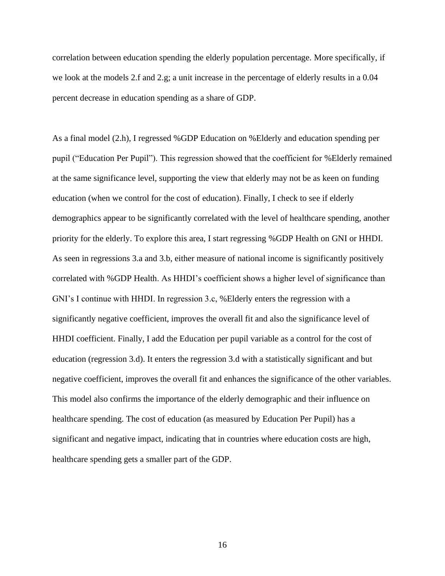correlation between education spending the elderly population percentage. More specifically, if we look at the models 2.f and 2.g; a unit increase in the percentage of elderly results in a 0.04 percent decrease in education spending as a share of GDP.

As a final model (2.h), I regressed %GDP Education on %Elderly and education spending per pupil ("Education Per Pupil"). This regression showed that the coefficient for %Elderly remained at the same significance level, supporting the view that elderly may not be as keen on funding education (when we control for the cost of education). Finally, I check to see if elderly demographics appear to be significantly correlated with the level of healthcare spending, another priority for the elderly. To explore this area, I start regressing %GDP Health on GNI or HHDI. As seen in regressions 3.a and 3.b, either measure of national income is significantly positively correlated with %GDP Health. As HHDI's coefficient shows a higher level of significance than GNI's I continue with HHDI. In regression 3.c, %Elderly enters the regression with a significantly negative coefficient, improves the overall fit and also the significance level of HHDI coefficient. Finally, I add the Education per pupil variable as a control for the cost of education (regression 3.d). It enters the regression 3.d with a statistically significant and but negative coefficient, improves the overall fit and enhances the significance of the other variables. This model also confirms the importance of the elderly demographic and their influence on healthcare spending. The cost of education (as measured by Education Per Pupil) has a significant and negative impact, indicating that in countries where education costs are high, healthcare spending gets a smaller part of the GDP.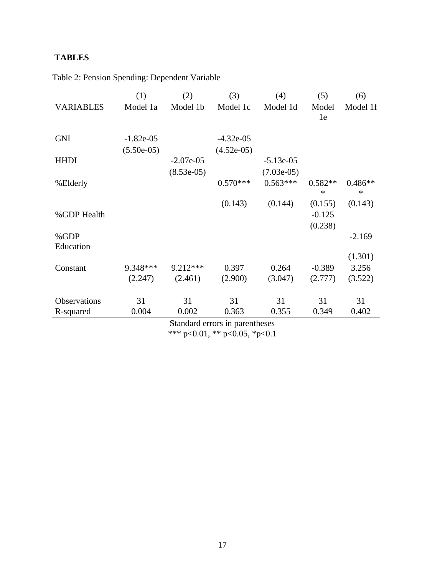# <span id="page-20-0"></span>**TABLES**

|                     | (1)          | (2)          | (3)          | (4)          | (5)       | (6)       |
|---------------------|--------------|--------------|--------------|--------------|-----------|-----------|
| <b>VARIABLES</b>    | Model 1a     | Model 1b     | Model 1c     | Model 1d     | Model     | Model 1f  |
|                     |              |              |              |              | 1e        |           |
|                     |              |              |              |              |           |           |
| <b>GNI</b>          | $-1.82e-05$  |              | $-4.32e-05$  |              |           |           |
|                     | $(5.50e-05)$ |              | $(4.52e-05)$ |              |           |           |
| <b>HHDI</b>         |              | $-2.07e-0.5$ |              | $-5.13e-05$  |           |           |
|                     |              | $(8.53e-05)$ |              | $(7.03e-05)$ |           |           |
| %Elderly            |              |              | $0.570***$   | $0.563***$   | $0.582**$ | $0.486**$ |
|                     |              |              |              |              | $\ast$    | $\ast$    |
|                     |              |              | (0.143)      | (0.144)      | (0.155)   | (0.143)   |
| %GDP Health         |              |              |              |              | $-0.125$  |           |
|                     |              |              |              |              | (0.238)   |           |
| %GDP                |              |              |              |              |           | $-2.169$  |
| Education           |              |              |              |              |           |           |
|                     |              |              |              |              |           | (1.301)   |
| Constant            | 9.348***     | $9.212***$   | 0.397        | 0.264        | $-0.389$  | 3.256     |
|                     | (2.247)      | (2.461)      | (2.900)      | (3.047)      | (2.777)   | (3.522)   |
|                     |              |              |              |              |           |           |
| <b>Observations</b> | 31           | 31           | 31           | 31           | 31        | 31        |
| R-squared           | 0.004        | 0.002        | 0.363        | 0.355        | 0.349     | 0.402     |
|                     |              |              |              |              |           |           |

Table 2: Pension Spending: Dependent Variable

Standard errors in parentheses \*\*\* p<0.01, \*\* p<0.05, \*p<0.1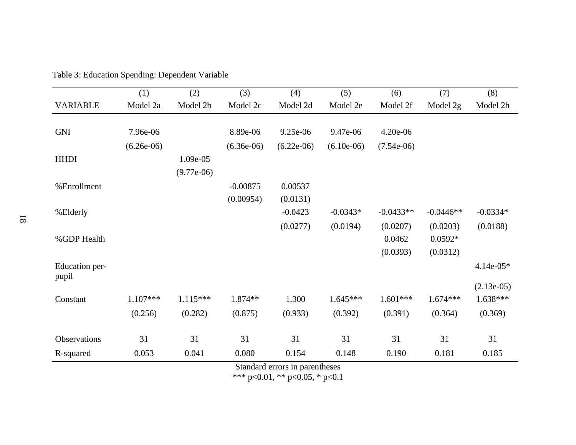|                         | (1)                            | (2)          | (3)          | (4)          | (5)          | (6)          | (7)         | (8)          |
|-------------------------|--------------------------------|--------------|--------------|--------------|--------------|--------------|-------------|--------------|
| <b>VARIABLE</b>         | Model 2a                       | Model 2b     | Model 2c     | Model 2d     | Model 2e     | Model 2f     | Model 2g    | Model 2h     |
|                         |                                |              |              |              |              |              |             |              |
| <b>GNI</b>              | 7.96e-06                       |              | 8.89e-06     | 9.25e-06     | 9.47e-06     | 4.20e-06     |             |              |
|                         | $(6.26e-06)$                   |              | $(6.36e-06)$ | $(6.22e-06)$ | $(6.10e-06)$ | $(7.54e-06)$ |             |              |
| <b>HHDI</b>             |                                | 1.09e-05     |              |              |              |              |             |              |
|                         |                                | $(9.77e-06)$ |              |              |              |              |             |              |
| %Enrollment             |                                |              | $-0.00875$   | 0.00537      |              |              |             |              |
|                         |                                |              | (0.00954)    | (0.0131)     |              |              |             |              |
| %Elderly                |                                |              |              | $-0.0423$    | $-0.0343*$   | $-0.0433**$  | $-0.0446**$ | $-0.0334*$   |
|                         |                                |              |              | (0.0277)     | (0.0194)     | (0.0207)     | (0.0203)    | (0.0188)     |
| %GDP Health             |                                |              |              |              |              | 0.0462       | $0.0592*$   |              |
|                         |                                |              |              |              |              | (0.0393)     | (0.0312)    |              |
| Education per-<br>pupil |                                |              |              |              |              |              |             | $4.14e-05*$  |
|                         |                                |              |              |              |              |              |             | $(2.13e-05)$ |
| Constant                | $1.107***$                     | $1.115***$   | 1.874**      | 1.300        | $1.645***$   | $1.601***$   | $1.674***$  | $1.638***$   |
|                         | (0.256)                        | (0.282)      | (0.875)      | (0.933)      | (0.392)      | (0.391)      | (0.364)     | (0.369)      |
| Observations            | 31                             | 31           | 31           | 31           | 31           | 31           | 31          | 31           |
| R-squared               | 0.053                          | 0.041        | 0.080        | 0.154        | 0.148        | 0.190        | 0.181       | 0.185        |
|                         | Standard errors in parentheses |              |              |              |              |              |             |              |

Table 3: Education Spending: Dependent Variable

Standard errors in parentheses

\*\*\* p<0.01, \*\* p<0.05, \* p<0.1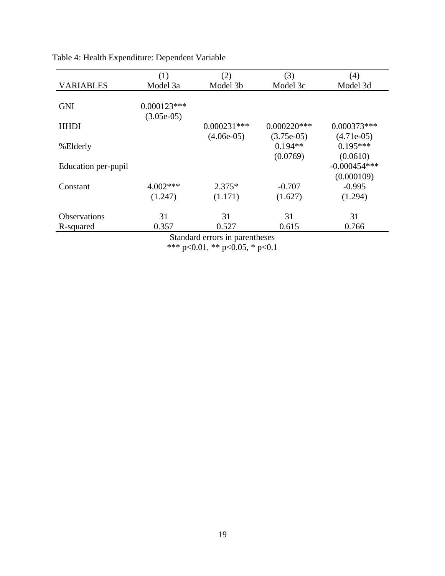|                                | (1)           | (2)           | (3)           | (4)            |  |  |
|--------------------------------|---------------|---------------|---------------|----------------|--|--|
| <b>VARIABLES</b>               | Model 3a      | Model 3b      | Model 3c      | Model 3d       |  |  |
|                                |               |               |               |                |  |  |
| <b>GNI</b>                     | $0.000123***$ |               |               |                |  |  |
|                                | $(3.05e-05)$  |               |               |                |  |  |
| <b>HHDI</b>                    |               | $0.000231***$ | $0.000220***$ | $0.000373***$  |  |  |
|                                |               | $(4.06e-05)$  | $(3.75e-05)$  | $(4.71e-05)$   |  |  |
| %Elderly                       |               |               | $0.194**$     | $0.195***$     |  |  |
|                                |               |               | (0.0769)      | (0.0610)       |  |  |
| Education per-pupil            |               |               |               | $-0.000454***$ |  |  |
|                                |               |               |               | (0.000109)     |  |  |
| Constant                       | $4.002***$    | $2.375*$      | $-0.707$      | $-0.995$       |  |  |
|                                | (1.247)       | (1.171)       | (1.627)       | (1.294)        |  |  |
| <b>Observations</b>            | 31            | 31            | 31            | 31             |  |  |
| R-squared                      | 0.357         | 0.527         | 0.615         | 0.766          |  |  |
| Standard errors in parentheses |               |               |               |                |  |  |

Table 4: Health Expenditure: Dependent Variable

<span id="page-22-0"></span>\*\*\* p<0.01, \*\* p<0.05, \* p<0.1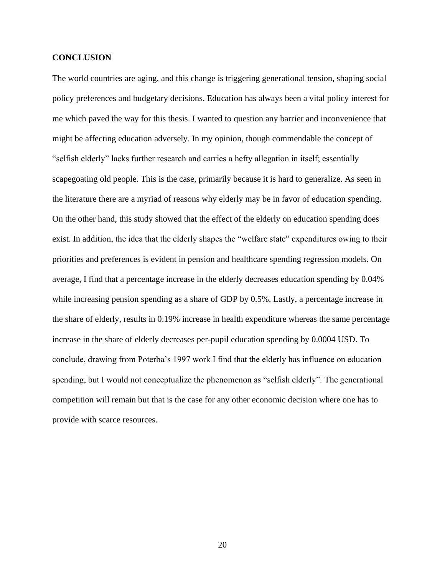#### **CONCLUSION**

The world countries are aging, and this change is triggering generational tension, shaping social policy preferences and budgetary decisions. Education has always been a vital policy interest for me which paved the way for this thesis. I wanted to question any barrier and inconvenience that might be affecting education adversely. In my opinion, though commendable the concept of "selfish elderly" lacks further research and carries a hefty allegation in itself; essentially scapegoating old people. This is the case, primarily because it is hard to generalize. As seen in the literature there are a myriad of reasons why elderly may be in favor of education spending. On the other hand, this study showed that the effect of the elderly on education spending does exist. In addition, the idea that the elderly shapes the "welfare state" expenditures owing to their priorities and preferences is evident in pension and healthcare spending regression models. On average, I find that a percentage increase in the elderly decreases education spending by 0.04% while increasing pension spending as a share of GDP by 0.5%. Lastly, a percentage increase in the share of elderly, results in 0.19% increase in health expenditure whereas the same percentage increase in the share of elderly decreases per-pupil education spending by 0.0004 USD. To conclude, drawing from Poterba's 1997 work I find that the elderly has influence on education spending, but I would not conceptualize the phenomenon as "selfish elderly". The generational competition will remain but that is the case for any other economic decision where one has to provide with scarce resources.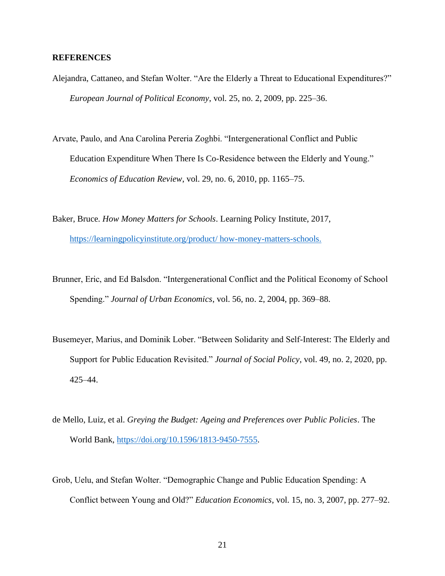#### <span id="page-24-0"></span>**REFERENCES**

- Alejandra, Cattaneo, and Stefan Wolter. "Are the Elderly a Threat to Educational Expenditures?" *European Journal of Political Economy*, vol. 25, no. 2, 2009, pp. 225–36.
- Arvate, Paulo, and Ana Carolina Pereria Zoghbi. "Intergenerational Conflict and Public Education Expenditure When There Is Co-Residence between the Elderly and Young." *Economics of Education Review*, vol. 29, no. 6, 2010, pp. 1165–75.
- Baker, Bruce. *How Money Matters for Schools*. Learning Policy Institute, 2017, [https://learningpolicyinstitute.org/product/ how-money-matters-schools.](https://learningpolicyinstitute.org/product/%20how-money-matters-schools.)
- Brunner, Eric, and Ed Balsdon. "Intergenerational Conflict and the Political Economy of School Spending." *Journal of Urban Economics*, vol. 56, no. 2, 2004, pp. 369–88.
- Busemeyer, Marius, and Dominik Lober. "Between Solidarity and Self-Interest: The Elderly and Support for Public Education Revisited." *Journal of Social Policy*, vol. 49, no. 2, 2020, pp. 425–44.
- de Mello, Luiz, et al. *Greying the Budget: Ageing and Preferences over Public Policies*. The World Bank, [https://doi.org/10.1596/1813-9450-7555.](https://doi.org/10.1596/1813-9450-7555)
- Grob, Uelu, and Stefan Wolter. "Demographic Change and Public Education Spending: A Conflict between Young and Old?" *Education Economics*, vol. 15, no. 3, 2007, pp. 277–92.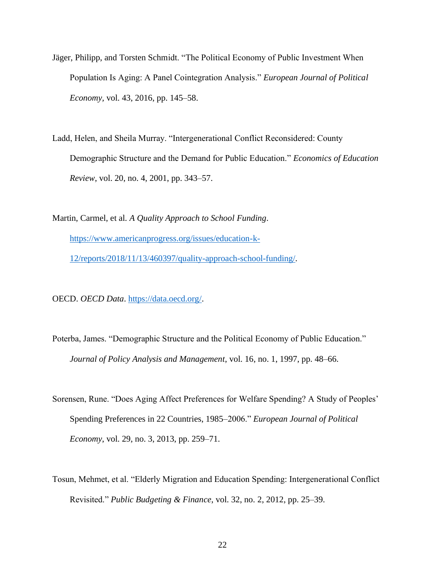- Jäger, Philipp, and Torsten Schmidt. "The Political Economy of Public Investment When Population Is Aging: A Panel Cointegration Analysis." *European Journal of Political Economy,* vol. 43, 2016, pp. 145–58.
- Ladd, Helen, and Sheila Murray. "Intergenerational Conflict Reconsidered: County Demographic Structure and the Demand for Public Education." *Economics of Education Review*, vol. 20, no. 4, 2001, pp. 343–57.

Martin, Carmel, et al. *A Quality Approach to School Funding*. [https://www.americanprogress.org/issues/education-k-](https://www.americanprogress.org/issues/education-k-12/reports/2018/11/13/460397/quality-approach-school-funding/)[12/reports/2018/11/13/460397/quality-approach-school-funding/.](https://www.americanprogress.org/issues/education-k-12/reports/2018/11/13/460397/quality-approach-school-funding/)

OECD. *OECD Data*. [https://data.oecd.org/.](https://data.oecd.org/)

- Poterba, James. "Demographic Structure and the Political Economy of Public Education." *Journal of Policy Analysis and Management*, vol. 16, no. 1, 1997, pp. 48–66.
- Sorensen, Rune. "Does Aging Affect Preferences for Welfare Spending? A Study of Peoples' Spending Preferences in 22 Countries, 1985–2006." *European Journal of Political Economy*, vol. 29, no. 3, 2013, pp. 259–71.
- Tosun, Mehmet, et al. "Elderly Migration and Education Spending: Intergenerational Conflict Revisited." *Public Budgeting & Finance*, vol. 32, no. 2, 2012, pp. 25–39.